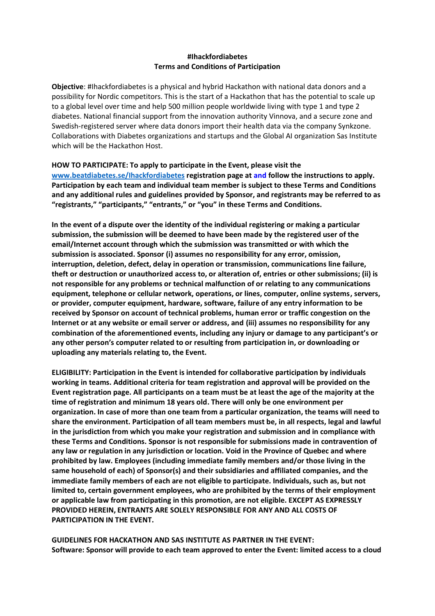#### **#Ihackfordiabetes Terms and Conditions of Participation**

**Objective**: #Ihackfordiabetes is a physical and hybrid Hackathon with national data donors and a possibility for Nordic competitors. This is the start of a Hackathon that has the potential to scale up to a global level over time and help 500 million people worldwide living with type 1 and type 2 diabetes. National financial support from the innovation authority Vinnova, and a secure zone and Swedish-registered server where data donors import their health data via the company Synkzone. Collaborations with Diabetes organizations and startups and the Global AI organization Sas Institute which will be the Hackathon Host.

# **HOW TO PARTICIPATE: To apply to participate in the Event, please visit the**

**[www.beatdiabetes.se/Ihackfordiabetes](http://www.beatdiabetes.se/Ihackfordiabetes) registration page at and follow the instructions to apply. Participation by each team and individual team member is subject to these Terms and Conditions and any additional rules and guidelines provided by Sponsor, and registrants may be referred to as "registrants," "participants," "entrants," or "you" in these Terms and Conditions.** 

**In the event of a dispute over the identity of the individual registering or making a particular submission, the submission will be deemed to have been made by the registered user of the email/Internet account through which the submission was transmitted or with which the submission is associated. Sponsor (i) assumes no responsibility for any error, omission, interruption, deletion, defect, delay in operation or transmission, communications line failure, theft or destruction or unauthorized access to, or alteration of, entries or other submissions; (ii) is not responsible for any problems or technical malfunction of or relating to any communications equipment, telephone or cellular network, operations, or lines, computer, online systems, servers, or provider, computer equipment, hardware, software, failure of any entry information to be received by Sponsor on account of technical problems, human error or traffic congestion on the Internet or at any website or email server or address, and (iii) assumes no responsibility for any combination of the aforementioned events, including any injury or damage to any participant's or any other person's computer related to or resulting from participation in, or downloading or uploading any materials relating to, the Event.** 

**ELIGIBILITY: Participation in the Event is intended for collaborative participation by individuals working in teams. Additional criteria for team registration and approval will be provided on the Event registration page. All participants on a team must be at least the age of the majority at the time of registration and minimum 18 years old. There will only be one environment per organization. In case of more than one team from a particular organization, the teams will need to share the environment. Participation of all team members must be, in all respects, legal and lawful in the jurisdiction from which you make your registration and submission and in compliance with these Terms and Conditions. Sponsor is not responsible for submissions made in contravention of any law or regulation in any jurisdiction or location. Void in the Province of Quebec and where prohibited by law. Employees (including immediate family members and/or those living in the same household of each) of Sponsor(s) and their subsidiaries and affiliated companies, and the immediate family members of each are not eligible to participate. Individuals, such as, but not limited to, certain government employees, who are prohibited by the terms of their employment or applicable law from participating in this promotion, are not eligible. EXCEPT AS EXPRESSLY PROVIDED HEREIN, ENTRANTS ARE SOLELY RESPONSIBLE FOR ANY AND ALL COSTS OF PARTICIPATION IN THE EVENT.** 

**GUIDELINES FOR HACKATHON AND SAS INSTITUTE AS PARTNER IN THE EVENT: Software: Sponsor will provide to each team approved to enter the Event: limited access to a cloud**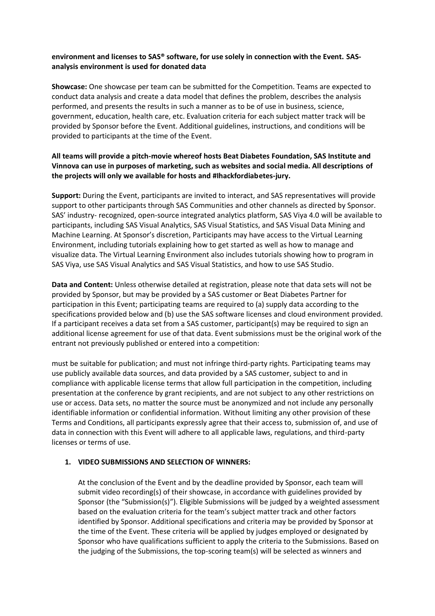#### **environment and licenses to SAS® software, for use solely in connection with the Event. SASanalysis environment is used for donated data**

**Showcase:** One showcase per team can be submitted for the Competition. Teams are expected to conduct data analysis and create a data model that defines the problem, describes the analysis performed, and presents the results in such a manner as to be of use in business, science, government, education, health care, etc. Evaluation criteria for each subject matter track will be provided by Sponsor before the Event. Additional guidelines, instructions, and conditions will be provided to participants at the time of the Event.

## **All teams will provide a pitch-movie whereof hosts Beat Diabetes Foundation, SAS Institute and Vinnova can use in purposes of marketing, such as websites and social media. All descriptions of the projects will only we available for hosts and #Ihackfordiabetes-jury.**

**Support:** During the Event, participants are invited to interact, and SAS representatives will provide support to other participants through SAS Communities and other channels as directed by Sponsor. SAS' industry- recognized, open-source integrated analytics platform, SAS Viya 4.0 will be available to participants, including SAS Visual Analytics, SAS Visual Statistics, and SAS Visual Data Mining and Machine Learning. At Sponsor's discretion, Participants may have access to the Virtual Learning Environment, including tutorials explaining how to get started as well as how to manage and visualize data. The Virtual Learning Environment also includes tutorials showing how to program in SAS Viya, use SAS Visual Analytics and SAS Visual Statistics, and how to use SAS Studio.

**Data and Content:** Unless otherwise detailed at registration, please note that data sets will not be provided by Sponsor, but may be provided by a SAS customer or Beat Diabetes Partner for participation in this Event; participating teams are required to (a) supply data according to the specifications provided below and (b) use the SAS software licenses and cloud environment provided. If a participant receives a data set from a SAS customer, participant(s) may be required to sign an additional license agreement for use of that data. Event submissions must be the original work of the entrant not previously published or entered into a competition:

must be suitable for publication; and must not infringe third-party rights. Participating teams may use publicly available data sources, and data provided by a SAS customer, subject to and in compliance with applicable license terms that allow full participation in the competition, including presentation at the conference by grant recipients, and are not subject to any other restrictions on use or access. Data sets, no matter the source must be anonymized and not include any personally identifiable information or confidential information. Without limiting any other provision of these Terms and Conditions, all participants expressly agree that their access to, submission of, and use of data in connection with this Event will adhere to all applicable laws, regulations, and third-party licenses or terms of use.

## **1. VIDEO SUBMISSIONS AND SELECTION OF WINNERS:**

At the conclusion of the Event and by the deadline provided by Sponsor, each team will submit video recording(s) of their showcase, in accordance with guidelines provided by Sponsor (the "Submission(s)"). Eligible Submissions will be judged by a weighted assessment based on the evaluation criteria for the team's subject matter track and other factors identified by Sponsor. Additional specifications and criteria may be provided by Sponsor at the time of the Event. These criteria will be applied by judges employed or designated by Sponsor who have qualifications sufficient to apply the criteria to the Submissions. Based on the judging of the Submissions, the top-scoring team(s) will be selected as winners and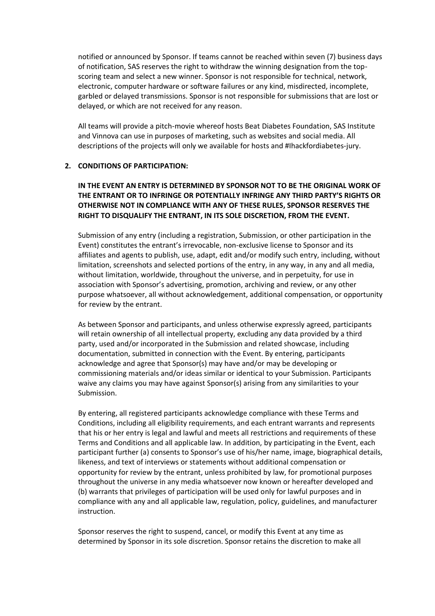notified or announced by Sponsor. If teams cannot be reached within seven (7) business days of notification, SAS reserves the right to withdraw the winning designation from the topscoring team and select a new winner. Sponsor is not responsible for technical, network, electronic, computer hardware or software failures or any kind, misdirected, incomplete, garbled or delayed transmissions. Sponsor is not responsible for submissions that are lost or delayed, or which are not received for any reason.

All teams will provide a pitch-movie whereof hosts Beat Diabetes Foundation, SAS Institute and Vinnova can use in purposes of marketing, such as websites and social media. All descriptions of the projects will only we available for hosts and #Ihackfordiabetes-jury.

#### **2. CONDITIONS OF PARTICIPATION:**

## **IN THE EVENT AN ENTRY IS DETERMINED BY SPONSOR NOT TO BE THE ORIGINAL WORK OF THE ENTRANT OR TO INFRINGE OR POTENTIALLY INFRINGE ANY THIRD PARTY'S RIGHTS OR OTHERWISE NOT IN COMPLIANCE WITH ANY OF THESE RULES, SPONSOR RESERVES THE RIGHT TO DISQUALIFY THE ENTRANT, IN ITS SOLE DISCRETION, FROM THE EVENT.**

Submission of any entry (including a registration, Submission, or other participation in the Event) constitutes the entrant's irrevocable, non-exclusive license to Sponsor and its affiliates and agents to publish, use, adapt, edit and/or modify such entry, including, without limitation, screenshots and selected portions of the entry, in any way, in any and all media, without limitation, worldwide, throughout the universe, and in perpetuity, for use in association with Sponsor's advertising, promotion, archiving and review, or any other purpose whatsoever, all without acknowledgement, additional compensation, or opportunity for review by the entrant.

As between Sponsor and participants, and unless otherwise expressly agreed, participants will retain ownership of all intellectual property, excluding any data provided by a third party, used and/or incorporated in the Submission and related showcase, including documentation, submitted in connection with the Event. By entering, participants acknowledge and agree that Sponsor(s) may have and/or may be developing or commissioning materials and/or ideas similar or identical to your Submission. Participants waive any claims you may have against Sponsor(s) arising from any similarities to your Submission.

By entering, all registered participants acknowledge compliance with these Terms and Conditions, including all eligibility requirements, and each entrant warrants and represents that his or her entry is legal and lawful and meets all restrictions and requirements of these Terms and Conditions and all applicable law. In addition, by participating in the Event, each participant further (a) consents to Sponsor's use of his/her name, image, biographical details, likeness, and text of interviews or statements without additional compensation or opportunity for review by the entrant, unless prohibited by law, for promotional purposes throughout the universe in any media whatsoever now known or hereafter developed and (b) warrants that privileges of participation will be used only for lawful purposes and in compliance with any and all applicable law, regulation, policy, guidelines, and manufacturer instruction.

Sponsor reserves the right to suspend, cancel, or modify this Event at any time as determined by Sponsor in its sole discretion. Sponsor retains the discretion to make all